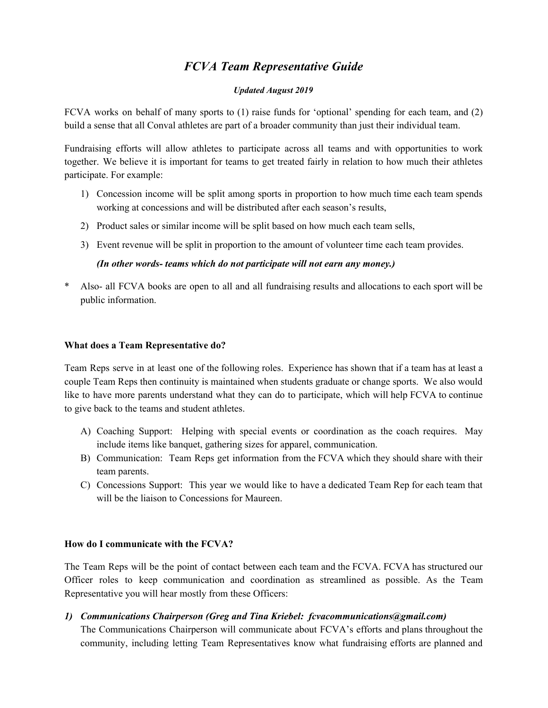# *FCVA Team Representative Guide*

#### *Updated August 2019*

FCVA works on behalf of many sports to (1) raise funds for 'optional' spending for each team, and (2) build a sense that all Conval athletes are part of a broader community than just their individual team.

Fundraising efforts will allow athletes to participate across all teams and with opportunities to work together. We believe it is important for teams to get treated fairly in relation to how much their athletes participate. For example:

- 1) Concession income will be split among sports in proportion to how much time each team spends working at concessions and will be distributed after each season's results,
- 2) Product sales or similar income will be split based on how much each team sells,
- 3) Event revenue will be split in proportion to the amount of volunteer time each team provides.

## *(In other words- teams which do not participate will not earn any money.)*

Also- all FCVA books are open to all and all fundraising results and allocations to each sport will be public information.

## **What does a Team Representative do?**

Team Reps serve in at least one of the following roles. Experience has shown that if a team has at least a couple Team Reps then continuity is maintained when students graduate or change sports. We also would like to have more parents understand what they can do to participate, which will help FCVA to continue to give back to the teams and student athletes.

- A) Coaching Support: Helping with special events or coordination as the coach requires. May include items like banquet, gathering sizes for apparel, communication.
- B) Communication: Team Reps get information from the FCVA which they should share with their team parents.
- C) Concessions Support: This year we would like to have a dedicated Team Rep for each team that will be the liaison to Concessions for Maureen.

## **How do I communicate with the FCVA?**

The Team Reps will be the point of contact between each team and the FCVA. FCVA has structured our Officer roles to keep communication and coordination as streamlined as possible. As the Team Representative you will hear mostly from these Officers:

*1) Communications Chairperson (Greg and Tina Kriebel: fcvacommunications@gmail.com)*

The Communications Chairperson will communicate about FCVA's efforts and plans throughout the community, including letting Team Representatives know what fundraising efforts are planned and